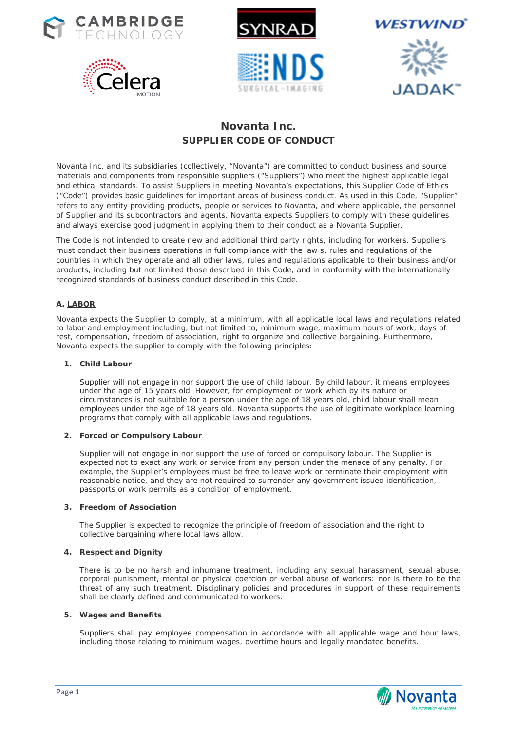









# **Novanta Inc. SUPPLIER CODE OF CONDUCT**

Novanta Inc. and its subsidiaries (collectively, "Novanta") are committed to conduct business and source materials and components from responsible suppliers ("Suppliers") who meet the highest applicable legal and ethical standards. To assist Suppliers in meeting Novanta's expectations, this Supplier Code of Ethics ("Code") provides basic guidelines for important areas of business conduct. As used in this Code, "Supplier" refers to any entity providing products, people or services to Novanta, and where applicable, the personnel of Supplier and its subcontractors and agents. Novanta expects Suppliers to comply with these guidelines and always exercise good judgment in applying them to their conduct as a Novanta Supplier.

The Code is not intended to create new and additional third party rights, including for workers. Suppliers must conduct their business operations in full compliance with the law s, rules and regulations of the countries in which they operate and all other laws, rules and regulations applicable to their business and/or products, including but not limited those described in this Code, and in conformity with the internationally recognized standards of business conduct described in this Code.

# **A. LABOR**

Novanta expects the Supplier to comply, at a minimum, with all applicable local laws and regulations related to labor and employment including, but not limited to, minimum wage, maximum hours of work, days of rest, compensation, freedom of association, right to organize and collective bargaining. Furthermore, Novanta expects the supplier to comply with the following principles:

## **1. Child Labour**

Supplier will not engage in nor support the use of child labour. By child labour, it means employees under the age of 15 years old. However, for employment or work which by its nature or circumstances is not suitable for a person under the age of 18 years old, child labour shall mean employees under the age of 18 years old. Novanta supports the use of legitimate workplace learning programs that comply with all applicable laws and regulations.

# **2. Forced or Compulsory Labour**

Supplier will not engage in nor support the use of forced or compulsory labour. The Supplier is expected not to exact any work or service from any person under the menace of any penalty. For example, the Supplier's employees must be free to leave work or terminate their employment with reasonable notice, and they are not required to surrender any government issued identification, passports or work permits as a condition of employment.

## **3. Freedom of Association**

The Supplier is expected to recognize the principle of freedom of association and the right to collective bargaining where local laws allow.

# **4. Respect and Dignity**

There is to be no harsh and inhumane treatment, including any sexual harassment, sexual abuse, corporal punishment, mental or physical coercion or verbal abuse of workers: nor is there to be the threat of any such treatment. Disciplinary policies and procedures in support of these requirements shall be clearly defined and communicated to workers.

### **5. Wages and Benefits**

Suppliers shall pay employee compensation in accordance with all applicable wage and hour laws, including those relating to minimum wages, overtime hours and legally mandated benefits.

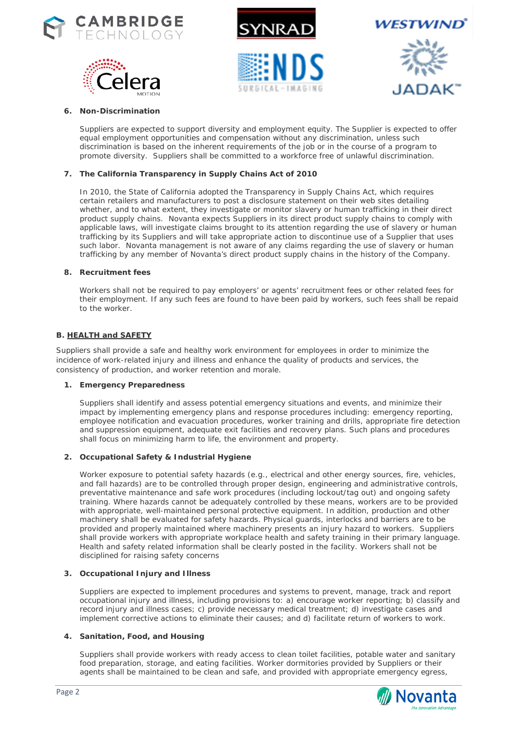









## **6. Non-Discrimination**

Suppliers are expected to support diversity and employment equity. The Supplier is expected to offer equal employment opportunities and compensation without any discrimination, unless such discrimination is based on the inherent requirements of the job or in the course of a program to promote diversity. Suppliers shall be committed to a workforce free of unlawful discrimination.

## **7. The California Transparency in Supply Chains Act of 2010**

In 2010, the State of California adopted the Transparency in Supply Chains Act, which requires certain retailers and manufacturers to post a disclosure statement on their web sites detailing whether, and to what extent, they investigate or monitor slavery or human trafficking in their direct product supply chains. Novanta expects Suppliers in its direct product supply chains to comply with applicable laws, will investigate claims brought to its attention regarding the use of slavery or human trafficking by its Suppliers and will take appropriate action to discontinue use of a Supplier that uses such labor. Novanta management is not aware of any claims regarding the use of slavery or human trafficking by any member of Novanta's direct product supply chains in the history of the Company.

### **8. Recruitment fees**

Workers shall not be required to pay employers' or agents' recruitment fees or other related fees for their employment. If any such fees are found to have been paid by workers, such fees shall be repaid to the worker.

## **B. HEALTH and SAFETY**

Suppliers shall provide a safe and healthy work environment for employees in order to minimize the incidence of work-related injury and illness and enhance the quality of products and services, the consistency of production, and worker retention and morale.

### **1. Emergency Preparedness**

Suppliers shall identify and assess potential emergency situations and events, and minimize their impact by implementing emergency plans and response procedures including: emergency reporting, employee notification and evacuation procedures, worker training and drills, appropriate fire detection and suppression equipment, adequate exit facilities and recovery plans. Such plans and procedures shall focus on minimizing harm to life, the environment and property.

### **2. Occupational Safety & Industrial Hygiene**

Worker exposure to potential safety hazards (e.g., electrical and other energy sources, fire, vehicles, and fall hazards) are to be controlled through proper design, engineering and administrative controls, preventative maintenance and safe work procedures (including lockout/tag out) and ongoing safety training. Where hazards cannot be adequately controlled by these means, workers are to be provided with appropriate, well-maintained personal protective equipment. In addition, production and other machinery shall be evaluated for safety hazards. Physical guards, interlocks and barriers are to be provided and properly maintained where machinery presents an injury hazard to workers. Suppliers shall provide workers with appropriate workplace health and safety training in their primary language. Health and safety related information shall be clearly posted in the facility. Workers shall not be disciplined for raising safety concerns

### **3. Occupational Injury and Illness**

Suppliers are expected to implement procedures and systems to prevent, manage, track and report occupational injury and illness, including provisions to: a) encourage worker reporting; b) classify and record injury and illness cases; c) provide necessary medical treatment; d) investigate cases and implement corrective actions to eliminate their causes; and d) facilitate return of workers to work.

### **4. Sanitation, Food, and Housing**

Suppliers shall provide workers with ready access to clean toilet facilities, potable water and sanitary food preparation, storage, and eating facilities. Worker dormitories provided by Suppliers or their agents shall be maintained to be clean and safe, and provided with appropriate emergency egress,

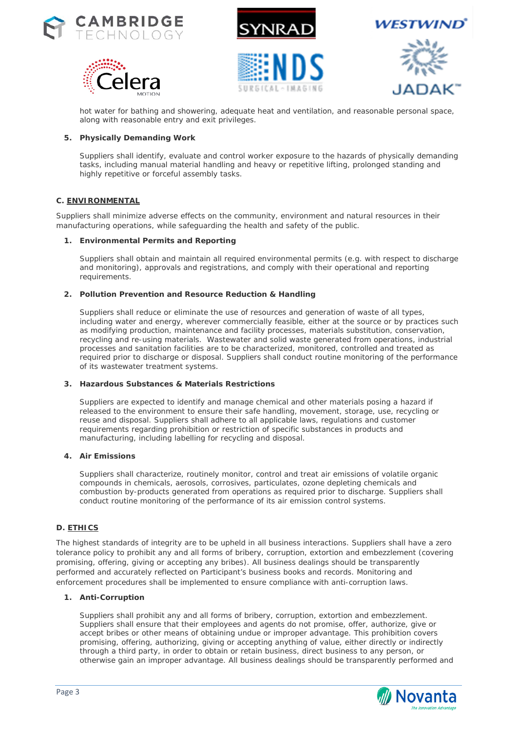











hot water for bathing and showering, adequate heat and ventilation, and reasonable personal space, along with reasonable entry and exit privileges.

## **5. Physically Demanding Work**

Suppliers shall identify, evaluate and control worker exposure to the hazards of physically demanding tasks, including manual material handling and heavy or repetitive lifting, prolonged standing and highly repetitive or forceful assembly tasks.

## **C. ENVIRONMENTAL**

Suppliers shall minimize adverse effects on the community, environment and natural resources in their manufacturing operations, while safeguarding the health and safety of the public.

## **1. Environmental Permits and Reporting**

Suppliers shall obtain and maintain all required environmental permits (e.g. with respect to discharge and monitoring), approvals and registrations, and comply with their operational and reporting requirements.

## **2. Pollution Prevention and Resource Reduction & Handling**

Suppliers shall reduce or eliminate the use of resources and generation of waste of all types, including water and energy, wherever commercially feasible, either at the source or by practices such as modifying production, maintenance and facility processes, materials substitution, conservation, recycling and re-using materials. Wastewater and solid waste generated from operations, industrial processes and sanitation facilities are to be characterized, monitored, controlled and treated as required prior to discharge or disposal. Suppliers shall conduct routine monitoring of the performance of its wastewater treatment systems.

### **3. Hazardous Substances & Materials Restrictions**

Suppliers are expected to identify and manage chemical and other materials posing a hazard if released to the environment to ensure their safe handling, movement, storage, use, recycling or reuse and disposal. Suppliers shall adhere to all applicable laws, regulations and customer requirements regarding prohibition or restriction of specific substances in products and manufacturing, including labelling for recycling and disposal.

### **4. Air Emissions**

Suppliers shall characterize, routinely monitor, control and treat air emissions of volatile organic compounds in chemicals, aerosols, corrosives, particulates, ozone depleting chemicals and combustion by-products generated from operations as required prior to discharge. Suppliers shall conduct routine monitoring of the performance of its air emission control systems.

### **D. ETHICS**

The highest standards of integrity are to be upheld in all business interactions. Suppliers shall have a zero tolerance policy to prohibit any and all forms of bribery, corruption, extortion and embezzlement (covering promising, offering, giving or accepting any bribes). All business dealings should be transparently performed and accurately reflected on Participant's business books and records. Monitoring and enforcement procedures shall be implemented to ensure compliance with anti-corruption laws.

## **1. Anti-Corruption**

Suppliers shall prohibit any and all forms of bribery, corruption, extortion and embezzlement. Suppliers shall ensure that their employees and agents do not promise, offer, authorize, give or accept bribes or other means of obtaining undue or improper advantage. This prohibition covers promising, offering, authorizing, giving or accepting anything of value, either directly or indirectly through a third party, in order to obtain or retain business, direct business to any person, or otherwise gain an improper advantage. All business dealings should be transparently performed and

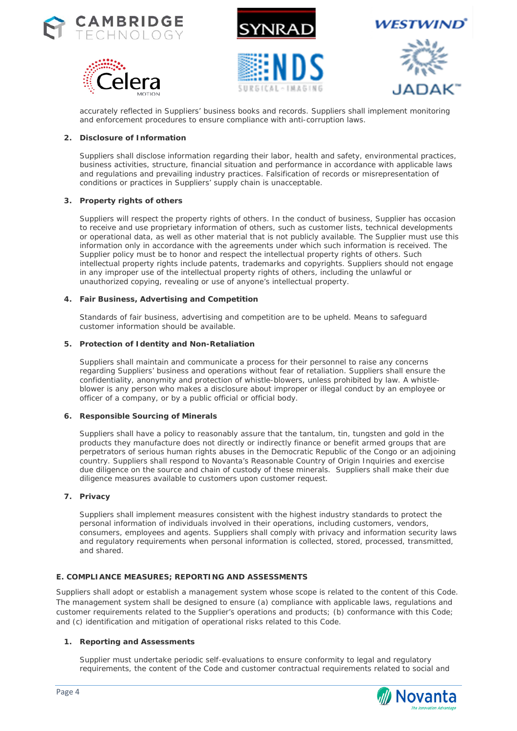











accurately reflected in Suppliers' business books and records. Suppliers shall implement monitoring and enforcement procedures to ensure compliance with anti-corruption laws.

## **2. Disclosure of Information**

Suppliers shall disclose information regarding their labor, health and safety, environmental practices, business activities, structure, financial situation and performance in accordance with applicable laws and regulations and prevailing industry practices. Falsification of records or misrepresentation of conditions or practices in Suppliers' supply chain is unacceptable.

## **3. Property rights of others**

Suppliers will respect the property rights of others. In the conduct of business, Supplier has occasion to receive and use proprietary information of others, such as customer lists, technical developments or operational data, as well as other material that is not publicly available. The Supplier must use this information only in accordance with the agreements under which such information is received. The Supplier policy must be to honor and respect the intellectual property rights of others. Such intellectual property rights include patents, trademarks and copyrights. Suppliers should not engage in any improper use of the intellectual property rights of others, including the unlawful or unauthorized copying, revealing or use of anyone's intellectual property.

## **4. Fair Business, Advertising and Competition**

Standards of fair business, advertising and competition are to be upheld. Means to safeguard customer information should be available.

### **5. Protection of Identity and Non-Retaliation**

Suppliers shall maintain and communicate a process for their personnel to raise any concerns regarding Suppliers' business and operations without fear of retaliation. Suppliers shall ensure the confidentiality, anonymity and protection of whistle-blowers, unless prohibited by law. A whistleblower is any person who makes a disclosure about improper or illegal conduct by an employee or officer of a company, or by a public official or official body.

### **6. Responsible Sourcing of Minerals**

Suppliers shall have a policy to reasonably assure that the tantalum, tin, tungsten and gold in the products they manufacture does not directly or indirectly finance or benefit armed groups that are perpetrators of serious human rights abuses in the Democratic Republic of the Congo or an adjoining country. Suppliers shall respond to Novanta's Reasonable Country of Origin Inquiries and exercise due diligence on the source and chain of custody of these minerals. Suppliers shall make their due diligence measures available to customers upon customer request.

### **7. Privacy**

Suppliers shall implement measures consistent with the highest industry standards to protect the personal information of individuals involved in their operations, including customers, vendors, consumers, employees and agents. Suppliers shall comply with privacy and information security laws and regulatory requirements when personal information is collected, stored, processed, transmitted, and shared.

### **E. COMPLIANCE MEASURES; REPORTING AND ASSESSMENTS**

Suppliers shall adopt or establish a management system whose scope is related to the content of this Code. The management system shall be designed to ensure (a) compliance with applicable laws, regulations and customer requirements related to the Supplier's operations and products; (b) conformance with this Code; and (c) identification and mitigation of operational risks related to this Code.

# **1. Reporting and Assessments**

Supplier must undertake periodic self-evaluations to ensure conformity to legal and regulatory requirements, the content of the Code and customer contractual requirements related to social and